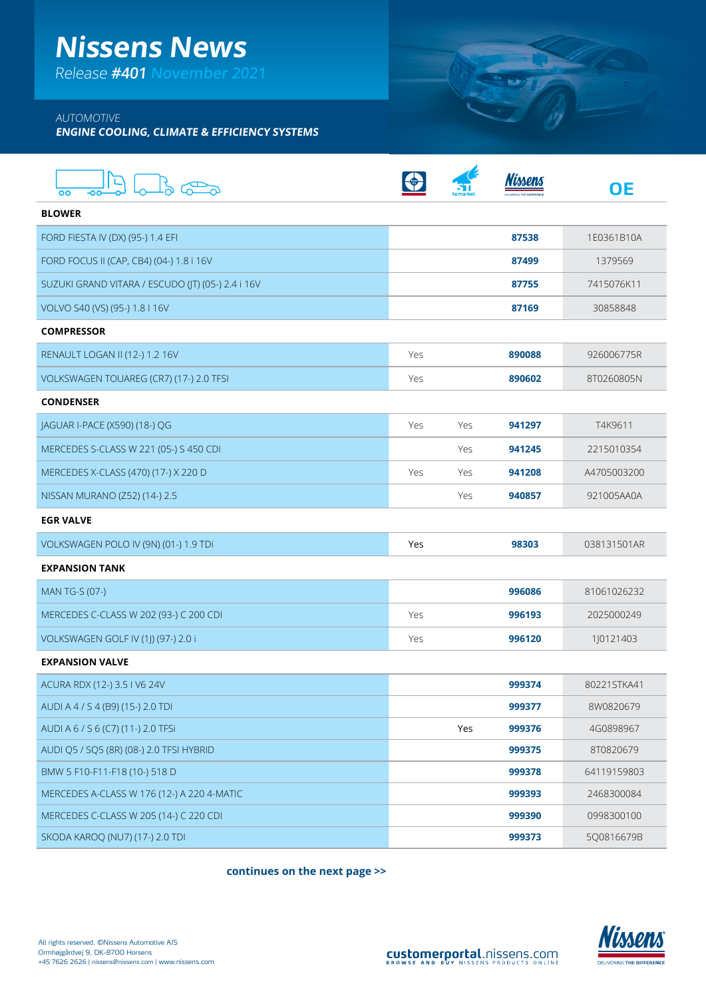## **Nissens News**

Release **#401 November 2021**

### AUTOMOTIVE

**ENGINE COOLING, CLIMATE & EFFICIENCY SYSTEMS**

| о٥<br>-00                                         |     |            | imon/  | OΕ          |
|---------------------------------------------------|-----|------------|--------|-------------|
| <b>BLOWER</b>                                     |     |            |        |             |
| FORD FIESTA IV (DX) (95-) 1.4 EFI                 |     |            | 87538  | 1E0361B10A  |
| FORD FOCUS II (CAP, CB4) (04-) 1.8 i 16V          |     |            | 87499  | 1379569     |
| SUZUKI GRAND VITARA / ESCUDO (JT) (05-) 2.4 i 16V |     |            | 87755  | 7415076K11  |
| VOLVO S40 (VS) (95-) 1.8   16V                    |     |            | 87169  | 30858848    |
| <b>COMPRESSOR</b>                                 |     |            |        |             |
| RENAULT LOGAN II (12-) 1.2 16V                    | Yes |            | 890088 | 926006775R  |
| VOLKSWAGEN TOUAREG (CR7) (17-) 2.0 TFSI           | Yes |            | 890602 | 8T0260805N  |
| <b>CONDENSER</b>                                  |     |            |        |             |
| JAGUAR I-PACE (X590) (18-) QG                     | Yes | <b>Yes</b> | 941297 | T4K9611     |
| MERCEDES S-CLASS W 221 (05-) S 450 CDI            |     | Yes        | 941245 | 2215010354  |
| MERCEDES X-CLASS (470) (17-) X 220 D              | Yes | Yes        | 941208 | A4705003200 |
| NISSAN MURANO (Z52) (14-) 2.5                     |     | Yes        | 940857 | 921005AA0A  |
| <b>EGR VALVE</b>                                  |     |            |        |             |
| VOLKSWAGEN POLO IV (9N) (01-) 1.9 TDi             | Yes |            | 98303  | 038131501AR |
| <b>EXPANSION TANK</b>                             |     |            |        |             |
| MAN TG-S (07-)                                    |     |            | 996086 | 81061026232 |
| MERCEDES C-CLASS W 202 (93-) C 200 CDI            | Yes |            | 996193 | 2025000249  |
| VOLKSWAGEN GOLF IV (1J) (97-) 2.0 i               | Yes |            | 996120 | 1J0121403   |
| <b>EXPANSION VALVE</b>                            |     |            |        |             |
| ACURA RDX (12-) 3.5 I V6 24V                      |     |            | 999374 | 80221STKA41 |
| AUDI A 4 / S 4 (B9) (15-) 2.0 TDI                 |     |            | 999377 | 8W0820679   |
| AUDI A 6 / S 6 (C7) (11-) 2.0 TFSi                |     | Yes        | 999376 | 4G0898967   |
| AUDI Q5 / SQ5 (8R) (08-) 2.0 TFSI HYBRID          |     |            | 999375 | 8T0820679   |
| BMW 5 F10-F11-F18 (10-) 518 D                     |     |            | 999378 | 64119159803 |
| MERCEDES A-CLASS W 176 (12-) A 220 4-MATIC        |     |            | 999393 | 2468300084  |
| MERCEDES C-CLASS W 205 (14-) C 220 CDI            |     |            | 999390 | 0998300100  |
| SKODA KAROQ (NU7) (17-) 2.0 TDI                   |     |            | 999373 | 5Q0816679B  |

**continues on the next page >>**



**CERTIFY**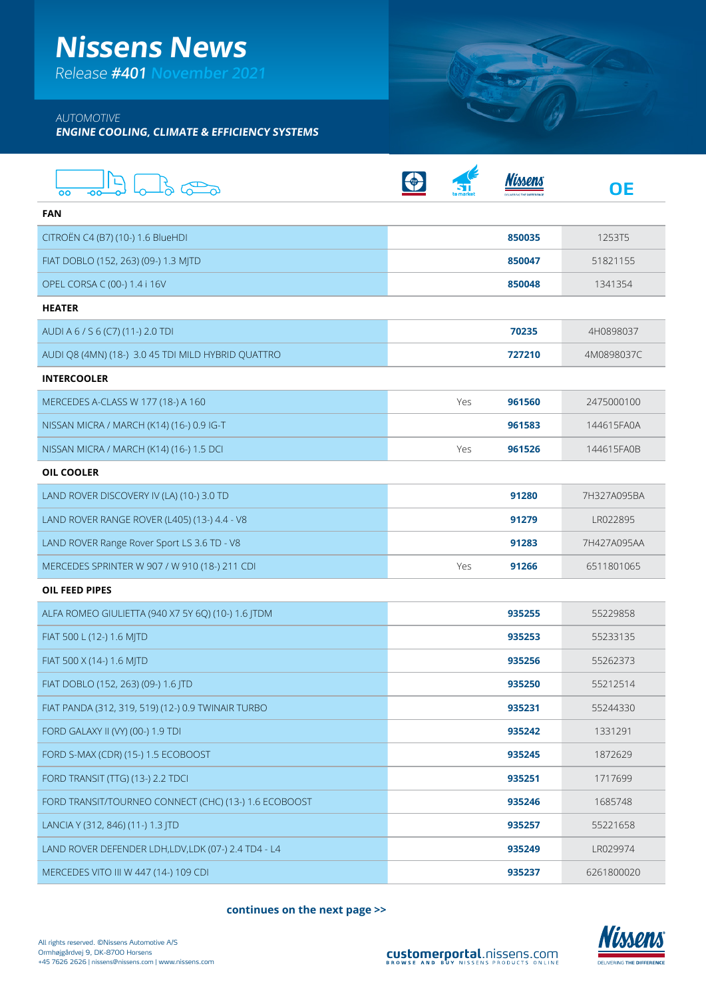## **Nissens News**

Release **#401 November 2021**

#### AUTOMOTIVE

**ENGINE COOLING, CLIMATE & EFFICIENCY SYSTEMS**

| OO                                                    |               | imon.<br>ΟE |
|-------------------------------------------------------|---------------|-------------|
| <b>FAN</b>                                            |               |             |
| CITROËN C4 (B7) (10-) 1.6 BlueHDI                     | 850035        | 1253T5      |
| FIAT DOBLO (152, 263) (09-) 1.3 MJTD                  | 850047        | 51821155    |
| OPEL CORSA C (00-) 1.4 i 16V                          | 850048        | 1341354     |
| <b>HEATER</b>                                         |               |             |
| AUDI A 6 / S 6 (C7) (11-) 2.0 TDI                     | 70235         | 4H0898037   |
| AUDI Q8 (4MN) (18-) 3.0 45 TDI MILD HYBRID QUATTRO    | 727210        | 4M0898037C  |
| <b>INTERCOOLER</b>                                    |               |             |
| MERCEDES A-CLASS W 177 (18-) A 160                    | Yes<br>961560 | 2475000100  |
| NISSAN MICRA / MARCH (K14) (16-) 0.9 IG-T             | 961583        | 144615FA0A  |
| NISSAN MICRA / MARCH (K14) (16-) 1.5 DCI              | Yes<br>961526 | 144615FA0B  |
| <b>OIL COOLER</b>                                     |               |             |
| LAND ROVER DISCOVERY IV (LA) (10-) 3.0 TD             | 91280         | 7H327A095BA |
| LAND ROVER RANGE ROVER (L405) (13-) 4.4 - V8          | 91279         | LR022895    |
| LAND ROVER Range Rover Sport LS 3.6 TD - V8           | 91283         | 7H427A095AA |
| MERCEDES SPRINTER W 907 / W 910 (18-) 211 CDI         | Yes<br>91266  | 6511801065  |
| <b>OIL FEED PIPES</b>                                 |               |             |
| ALFA ROMEO GIULIETTA (940 X7 5Y 6Q) (10-) 1.6 JTDM    | 935255        | 55229858    |
| FIAT 500 L (12-) 1.6 MJTD                             | 935253        | 55233135    |
| FIAT 500 X (14-) 1.6 MJTD                             | 935256        | 55262373    |
| FIAT DOBLO (152, 263) (09-) 1.6 JTD                   | 935250        | 55212514    |
| FIAT PANDA (312, 319, 519) (12-) 0.9 TWINAIR TURBO    | 935231        | 55244330    |
| FORD GALAXY II (VY) (00-) 1.9 TDI                     | 935242        | 1331291     |
| FORD S-MAX (CDR) (15-) 1.5 ECOBOOST                   | 935245        | 1872629     |
| FORD TRANSIT (TTG) (13-) 2.2 TDCI                     | 935251        | 1717699     |
| FORD TRANSIT/TOURNEO CONNECT (CHC) (13-) 1.6 ECOBOOST | 935246        | 1685748     |
| LANCIA Y (312, 846) (11-) 1.3 JTD                     | 935257        | 55221658    |
| LAND ROVER DEFENDER LDH,LDV,LDK (07-) 2.4 TD4 - L4    | 935249        | LR029974    |
| MERCEDES VITO III W 447 (14-) 109 CDI                 | 935237        | 6261800020  |

**continues on the next page >>**



Surf